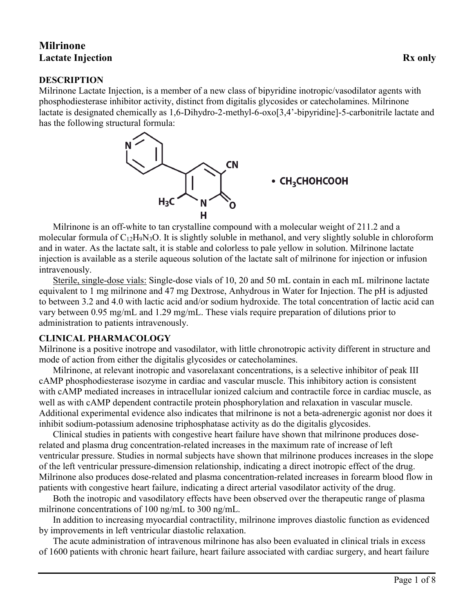# **Milrinone Lactate Injection Rx only**

#### **DESCRIPTION**

Milrinone Lactate Injection, is a member of a new class of bipyridine inotropic/vasodilator agents with phosphodiesterase inhibitor activity, distinct from digitalis glycosides or catecholamines. Milrinone lactate is designated chemically as 1,6-Dihydro-2-methyl-6-oxo[3,4'-bipyridine]-5-carbonitrile lactate and has the following structural formula:



### • CH<sub>3</sub>CHOHCOOH

Milrinone is an off-white to tan crystalline compound with a molecular weight of 211.2 and a molecular formula of  $C_{12}H_9N_3O$ . It is slightly soluble in methanol, and very slightly soluble in chloroform and in water. As the lactate salt, it is stable and colorless to pale yellow in solution. Milrinone lactate injection is available as a sterile aqueous solution of the lactate salt of milrinone for injection or infusion intravenously.

Sterile, single-dose vials: Single-dose vials of 10, 20 and 50 mL contain in each mL milrinone lactate equivalent to 1 mg milrinone and 47 mg Dextrose, Anhydrous in Water for Injection. The pH is adjusted to between 3.2 and 4.0 with lactic acid and/or sodium hydroxide. The total concentration of lactic acid can vary between 0.95 mg/mL and 1.29 mg/mL. These vials require preparation of dilutions prior to administration to patients intravenously.

### **CLINICAL PHARMACOLOGY**

Milrinone is a positive inotrope and vasodilator, with little chronotropic activity different in structure and mode of action from either the digitalis glycosides or catecholamines.

Milrinone, at relevant inotropic and vasorelaxant concentrations, is a selective inhibitor of peak III cAMP phosphodiesterase isozyme in cardiac and vascular muscle. This inhibitory action is consistent with cAMP mediated increases in intracellular ionized calcium and contractile force in cardiac muscle, as well as with cAMP dependent contractile protein phosphorylation and relaxation in vascular muscle. Additional experimental evidence also indicates that milrinone is not a beta-adrenergic agonist nor does it inhibit sodium-potassium adenosine triphosphatase activity as do the digitalis glycosides.

Clinical studies in patients with congestive heart failure have shown that milrinone produces doserelated and plasma drug concentration-related increases in the maximum rate of increase of left ventricular pressure. Studies in normal subjects have shown that milrinone produces increases in the slope of the left ventricular pressure-dimension relationship, indicating a direct inotropic effect of the drug. Milrinone also produces dose-related and plasma concentration-related increases in forearm blood flow in patients with congestive heart failure, indicating a direct arterial vasodilator activity of the drug.

Both the inotropic and vasodilatory effects have been observed over the therapeutic range of plasma milrinone concentrations of 100 ng/mL to 300 ng/mL.

In addition to increasing myocardial contractility, milrinone improves diastolic function as evidenced by improvements in left ventricular diastolic relaxation.

The acute administration of intravenous milrinone has also been evaluated in clinical trials in excess of 1600 patients with chronic heart failure, heart failure associated with cardiac surgery, and heart failure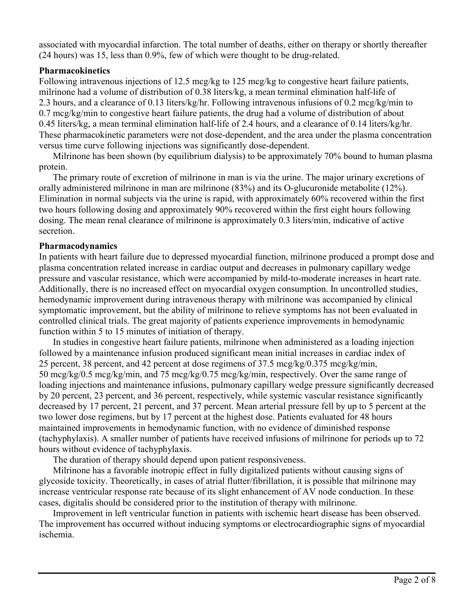associated with myocardial infarction. The total number of deaths, either on therapy or shortly thereafter (24 hours) was 15, less than 0.9%, few of which were thought to be drug-related.

## **Pharmacokinetics**

Following intravenous injections of 12.5 mcg/kg to 125 mcg/kg to congestive heart failure patients, milrinone had a volume of distribution of 0.38 liters/kg, a mean terminal elimination half-life of 2.3 hours, and a clearance of 0.13 liters/kg/hr. Following intravenous infusions of 0.2 mcg/kg/min to 0.7 mcg/kg/min to congestive heart failure patients, the drug had a volume of distribution of about 0.45 liters/kg, a mean terminal elimination half-life of 2.4 hours, and a clearance of 0.14 liters/kg/hr. These pharmacokinetic parameters were not dose-dependent, and the area under the plasma concentration versus time curve following injections was significantly dose-dependent.

Milrinone has been shown (by equilibrium dialysis) to be approximately 70% bound to human plasma protein.

The primary route of excretion of milrinone in man is via the urine. The major urinary excretions of orally administered milrinone in man are milrinone (83%) and its O-glucuronide metabolite (12%). Elimination in normal subjects via the urine is rapid, with approximately 60% recovered within the first two hours following dosing and approximately 90% recovered within the first eight hours following dosing. The mean renal clearance of milrinone is approximately 0.3 liters/min, indicative of active secretion.

### **Pharmacodynamics**

In patients with heart failure due to depressed myocardial function, milrinone produced a prompt dose and plasma concentration related increase in cardiac output and decreases in pulmonary capillary wedge pressure and vascular resistance, which were accompanied by mild-to-moderate increases in heart rate. Additionally, there is no increased effect on myocardial oxygen consumption. In uncontrolled studies, hemodynamic improvement during intravenous therapy with milrinone was accompanied by clinical symptomatic improvement, but the ability of milrinone to relieve symptoms has not been evaluated in controlled clinical trials. The great majority of patients experience improvements in hemodynamic function within 5 to 15 minutes of initiation of therapy.

In studies in congestive heart failure patients, milrinone when administered as a loading injection followed by a maintenance infusion produced significant mean initial increases in cardiac index of 25 percent, 38 percent, and 42 percent at dose regimens of 37.5 mcg/kg/0.375 mcg/kg/min, 50 mcg/kg/0.5 mcg/kg/min, and 75 mcg/kg/0.75 mcg/kg/min, respectively. Over the same range of loading injections and maintenance infusions, pulmonary capillary wedge pressure significantly decreased by 20 percent, 23 percent, and 36 percent, respectively, while systemic vascular resistance significantly decreased by 17 percent, 21 percent, and 37 percent. Mean arterial pressure fell by up to 5 percent at the two lower dose regimens, but by 17 percent at the highest dose. Patients evaluated for 48 hours maintained improvements in hemodynamic function, with no evidence of diminished response (tachyphylaxis). A smaller number of patients have received infusions of milrinone for periods up to 72 hours without evidence of tachyphylaxis.

The duration of therapy should depend upon patient responsiveness.

Milrinone has a favorable inotropic effect in fully digitalized patients without causing signs of glycoside toxicity. Theoretically, in cases of atrial flutter/fibrillation, it is possible that milrinone may increase ventricular response rate because of its slight enhancement of AV node conduction. In these cases, digitalis should be considered prior to the institution of therapy with milrinone.

Improvement in left ventricular function in patients with ischemic heart disease has been observed. The improvement has occurred without inducing symptoms or electrocardiographic signs of myocardial ischemia.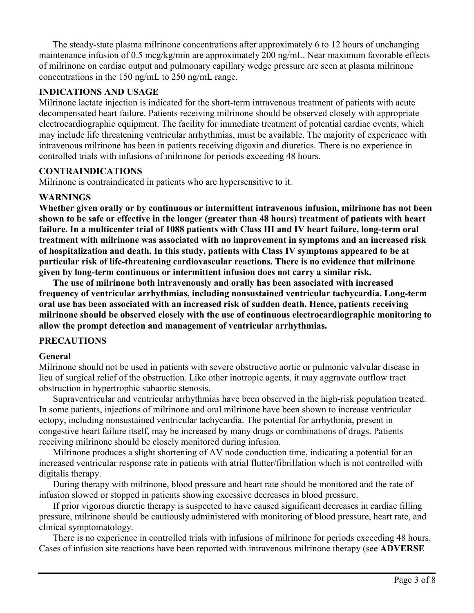The steady-state plasma milrinone concentrations after approximately 6 to 12 hours of unchanging maintenance infusion of 0.5 mcg/kg/min are approximately 200 ng/mL. Near maximum favorable effects of milrinone on cardiac output and pulmonary capillary wedge pressure are seen at plasma milrinone concentrations in the 150 ng/mL to 250 ng/mL range.

#### **INDICATIONS AND USAGE**

Milrinone lactate injection is indicated for the short-term intravenous treatment of patients with acute decompensated heart failure. Patients receiving milrinone should be observed closely with appropriate electrocardiographic equipment. The facility for immediate treatment of potential cardiac events, which may include life threatening ventricular arrhythmias, must be available. The majority of experience with intravenous milrinone has been in patients receiving digoxin and diuretics. There is no experience in controlled trials with infusions of milrinone for periods exceeding 48 hours.

### **CONTRAINDICATIONS**

Milrinone is contraindicated in patients who are hypersensitive to it.

### **WARNINGS**

**Whether given orally or by continuous or intermittent intravenous infusion, milrinone has not been shown to be safe or effective in the longer (greater than 48 hours) treatment of patients with heart failure. In a multicenter trial of 1088 patients with Class III and IV heart failure, long-term oral treatment with milrinone was associated with no improvement in symptoms and an increased risk of hospitalization and death. In this study, patients with Class IV symptoms appeared to be at particular risk of life-threatening cardiovascular reactions. There is no evidence that milrinone given by long-term continuous or intermittent infusion does not carry a similar risk.**

**The use of milrinone both intravenously and orally has been associated with increased frequency of ventricular arrhythmias, including nonsustained ventricular tachycardia. Long-term oral use has been associated with an increased risk of sudden death. Hence, patients receiving milrinone should be observed closely with the use of continuous electrocardiographic monitoring to allow the prompt detection and management of ventricular arrhythmias.**

### **PRECAUTIONS**

### **General**

Milrinone should not be used in patients with severe obstructive aortic or pulmonic valvular disease in lieu of surgical relief of the obstruction. Like other inotropic agents, it may aggravate outflow tract obstruction in hypertrophic subaortic stenosis.

Supraventricular and ventricular arrhythmias have been observed in the high-risk population treated. In some patients, injections of milrinone and oral milrinone have been shown to increase ventricular ectopy, including nonsustained ventricular tachycardia. The potential for arrhythmia, present in congestive heart failure itself, may be increased by many drugs or combinations of drugs. Patients receiving milrinone should be closely monitored during infusion.

Milrinone produces a slight shortening of AV node conduction time, indicating a potential for an increased ventricular response rate in patients with atrial flutter/fibrillation which is not controlled with digitalis therapy.

During therapy with milrinone, blood pressure and heart rate should be monitored and the rate of infusion slowed or stopped in patients showing excessive decreases in blood pressure.

If prior vigorous diuretic therapy is suspected to have caused significant decreases in cardiac filling pressure, milrinone should be cautiously administered with monitoring of blood pressure, heart rate, and clinical symptomatology.

There is no experience in controlled trials with infusions of milrinone for periods exceeding 48 hours. Cases of infusion site reactions have been reported with intravenous milrinone therapy (see **ADVERSE**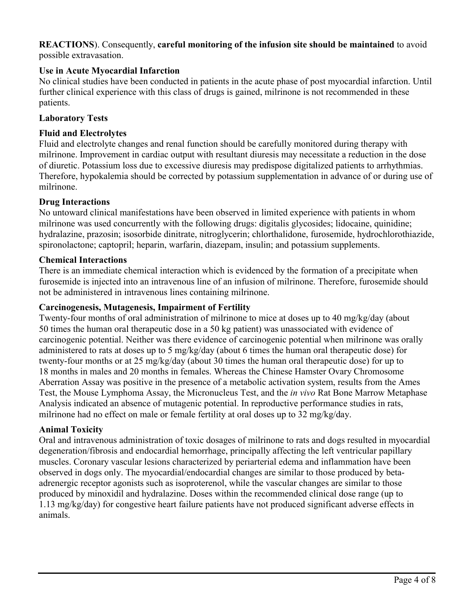#### **REACTIONS**). Consequently, **careful monitoring of the infusion site should be maintained** to avoid possible extravasation.

## **Use in Acute Myocardial Infarction**

No clinical studies have been conducted in patients in the acute phase of post myocardial infarction. Until further clinical experience with this class of drugs is gained, milrinone is not recommended in these patients.

### **Laboratory Tests**

#### **Fluid and Electrolytes**

Fluid and electrolyte changes and renal function should be carefully monitored during therapy with milrinone. Improvement in cardiac output with resultant diuresis may necessitate a reduction in the dose of diuretic. Potassium loss due to excessive diuresis may predispose digitalized patients to arrhythmias. Therefore, hypokalemia should be corrected by potassium supplementation in advance of or during use of milrinone.

#### **Drug Interactions**

No untoward clinical manifestations have been observed in limited experience with patients in whom milrinone was used concurrently with the following drugs: digitalis glycosides; lidocaine, quinidine; hydralazine, prazosin; isosorbide dinitrate, nitroglycerin; chlorthalidone, furosemide, hydrochlorothiazide, spironolactone; captopril; heparin, warfarin, diazepam, insulin; and potassium supplements.

#### **Chemical Interactions**

There is an immediate chemical interaction which is evidenced by the formation of a precipitate when furosemide is injected into an intravenous line of an infusion of milrinone. Therefore, furosemide should not be administered in intravenous lines containing milrinone.

#### **Carcinogenesis, Mutagenesis, Impairment of Fertility**

Twenty-four months of oral administration of milrinone to mice at doses up to 40 mg/kg/day (about 50 times the human oral therapeutic dose in a 50 kg patient) was unassociated with evidence of carcinogenic potential. Neither was there evidence of carcinogenic potential when milrinone was orally administered to rats at doses up to 5 mg/kg/day (about 6 times the human oral therapeutic dose) for twenty-four months or at 25 mg/kg/day (about 30 times the human oral therapeutic dose) for up to 18 months in males and 20 months in females. Whereas the Chinese Hamster Ovary Chromosome Aberration Assay was positive in the presence of a metabolic activation system, results from the Ames Test, the Mouse Lymphoma Assay, the Micronucleus Test, and the *in vivo* Rat Bone Marrow Metaphase Analysis indicated an absence of mutagenic potential. In reproductive performance studies in rats, milrinone had no effect on male or female fertility at oral doses up to 32 mg/kg/day.

#### **Animal Toxicity**

Oral and intravenous administration of toxic dosages of milrinone to rats and dogs resulted in myocardial degeneration/fibrosis and endocardial hemorrhage, principally affecting the left ventricular papillary muscles. Coronary vascular lesions characterized by periarterial edema and inflammation have been observed in dogs only. The myocardial/endocardial changes are similar to those produced by betaadrenergic receptor agonists such as isoproterenol, while the vascular changes are similar to those produced by minoxidil and hydralazine. Doses within the recommended clinical dose range (up to 1.13 mg/kg/day) for congestive heart failure patients have not produced significant adverse effects in animals.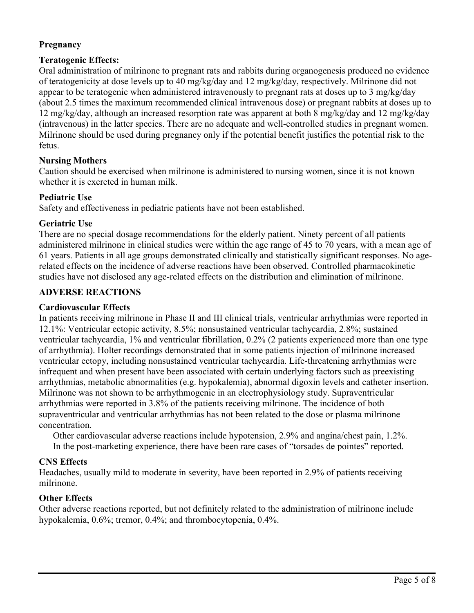## **Pregnancy**

### **Teratogenic Effects:**

Oral administration of milrinone to pregnant rats and rabbits during organogenesis produced no evidence of teratogenicity at dose levels up to 40 mg/kg/day and 12 mg/kg/day, respectively. Milrinone did not appear to be teratogenic when administered intravenously to pregnant rats at doses up to 3 mg/kg/day (about 2.5 times the maximum recommended clinical intravenous dose) or pregnant rabbits at doses up to 12 mg/kg/day, although an increased resorption rate was apparent at both 8 mg/kg/day and 12 mg/kg/day (intravenous) in the latter species. There are no adequate and well-controlled studies in pregnant women. Milrinone should be used during pregnancy only if the potential benefit justifies the potential risk to the fetus.

## **Nursing Mothers**

Caution should be exercised when milrinone is administered to nursing women, since it is not known whether it is excreted in human milk.

### **Pediatric Use**

Safety and effectiveness in pediatric patients have not been established.

### **Geriatric Use**

There are no special dosage recommendations for the elderly patient. Ninety percent of all patients administered milrinone in clinical studies were within the age range of 45 to 70 years, with a mean age of 61 years. Patients in all age groups demonstrated clinically and statistically significant responses. No agerelated effects on the incidence of adverse reactions have been observed. Controlled pharmacokinetic studies have not disclosed any age-related effects on the distribution and elimination of milrinone.

### **ADVERSE REACTIONS**

### **Cardiovascular Effects**

In patients receiving milrinone in Phase II and III clinical trials, ventricular arrhythmias were reported in 12.1%: Ventricular ectopic activity, 8.5%; nonsustained ventricular tachycardia, 2.8%; sustained ventricular tachycardia, 1% and ventricular fibrillation, 0.2% (2 patients experienced more than one type of arrhythmia). Holter recordings demonstrated that in some patients injection of milrinone increased ventricular ectopy, including nonsustained ventricular tachycardia. Life-threatening arrhythmias were infrequent and when present have been associated with certain underlying factors such as preexisting arrhythmias, metabolic abnormalities (e.g. hypokalemia), abnormal digoxin levels and catheter insertion. Milrinone was not shown to be arrhythmogenic in an electrophysiology study. Supraventricular arrhythmias were reported in 3.8% of the patients receiving milrinone. The incidence of both supraventricular and ventricular arrhythmias has not been related to the dose or plasma milrinone concentration.

Other cardiovascular adverse reactions include hypotension, 2.9% and angina/chest pain, 1.2%. In the post-marketing experience, there have been rare cases of "torsades de pointes" reported.

## **CNS Effects**

Headaches, usually mild to moderate in severity, have been reported in 2.9% of patients receiving milrinone.

## **Other Effects**

Other adverse reactions reported, but not definitely related to the administration of milrinone include hypokalemia, 0.6%; tremor, 0.4%; and thrombocytopenia, 0.4%.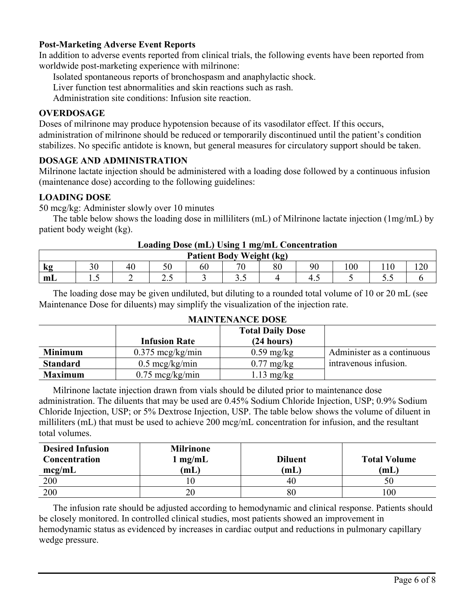#### **Post-Marketing Adverse Event Reports**

In addition to adverse events reported from clinical trials, the following events have been reported from worldwide post-marketing experience with milrinone:

Isolated spontaneous reports of bronchospasm and anaphylactic shock.

Liver function test abnormalities and skin reactions such as rash.

Administration site conditions: Infusion site reaction.

#### **OVERDOSAGE**

Doses of milrinone may produce hypotension because of its vasodilator effect. If this occurs, administration of milrinone should be reduced or temporarily discontinued until the patient's condition stabilizes. No specific antidote is known, but general measures for circulatory support should be taken.

#### **DOSAGE AND ADMINISTRATION**

Milrinone lactate injection should be administered with a loading dose followed by a continuous infusion (maintenance dose) according to the following guidelines:

#### **LOADING DOSE**

50 mcg/kg: Administer slowly over 10 minutes

The table below shows the loading dose in milliliters (mL) of Milrinone lactate injection (1mg/mL) by patient body weight (kg).

| Loading Dose (mL) Using I mg/mL Concentration |       |  |       |  |     |    |     |              |     |  |
|-----------------------------------------------|-------|--|-------|--|-----|----|-----|--------------|-----|--|
| <b>Patient Body Weight (kg)</b>               |       |  |       |  |     |    |     |              |     |  |
| <b>K</b> g                                    |       |  |       |  |     | Q٨ | 90  | $00^{\circ}$ |     |  |
| m <sub>L</sub>                                | ⊥ ∙ ~ |  | ر . ب |  | ن ر |    | ر., |              | ں . |  |

# **Loading Dose (mL) Using 1 mg/mL Concentration**

The loading dose may be given undiluted, but diluting to a rounded total volume of 10 or 20 mL (see Maintenance Dose for diluents) may simplify the visualization of the injection rate.

|                 | <b>Infusion Rate</b>       | <b>Total Daily Dose</b><br>(24 hours) |                            |
|-----------------|----------------------------|---------------------------------------|----------------------------|
| <b>Minimum</b>  | $0.375 \text{~mcg/kg/min}$ | $0.59 \text{ mg/kg}$                  | Administer as a continuous |
| <b>Standard</b> | $0.5 \text{~mcg/kg/min}$   | $0.77 \text{ mg/kg}$                  | intravenous infusion.      |
| <b>Maximum</b>  | $0.75 \text{~mg/kg/min}$   | $1.13 \text{ mg/kg}$                  |                            |

## **MAINTENANCE DOSE**

Milrinone lactate injection drawn from vials should be diluted prior to maintenance dose administration. The diluents that may be used are 0.45% Sodium Chloride Injection, USP; 0.9% Sodium Chloride Injection, USP; or 5% Dextrose Injection, USP. The table below shows the volume of diluent in milliliters (mL) that must be used to achieve 200 mcg/mL concentration for infusion, and the resultant total volumes.

| <b>Desired Infusion</b><br>Concentration | <b>Milrinone</b><br>$1 \text{ mg/mL}$ | <b>Diluent</b> | <b>Total Volume</b> |
|------------------------------------------|---------------------------------------|----------------|---------------------|
| mcg/mL                                   | (mL)                                  | (mL)           | (mL)                |
| 200                                      |                                       | 40             | 50                  |
| 200                                      | 20                                    | 80             | 100                 |

The infusion rate should be adjusted according to hemodynamic and clinical response. Patients should be closely monitored. In controlled clinical studies, most patients showed an improvement in hemodynamic status as evidenced by increases in cardiac output and reductions in pulmonary capillary wedge pressure.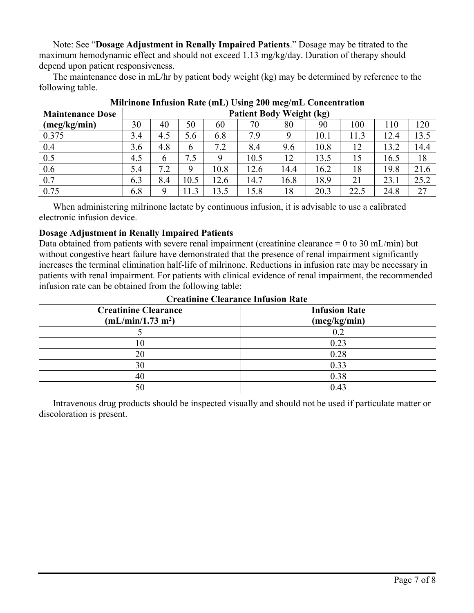Note: See "**Dosage Adjustment in Renally Impaired Patients**." Dosage may be titrated to the maximum hemodynamic effect and should not exceed 1.13 mg/kg/day. Duration of therapy should depend upon patient responsiveness.

The maintenance dose in mL/hr by patient body weight (kg) may be determined by reference to the following table.

| <b>Maintenance Dose</b> | $\overline{\phantom{a}}$<br>$\overline{\phantom{a}}$<br><b>Patient Body Weight (kg)</b> |     |      |      |      |      |      |      |      |      |
|-------------------------|-----------------------------------------------------------------------------------------|-----|------|------|------|------|------|------|------|------|
| (mcg/kg/min)            | 30                                                                                      | 40  | 50   | 60   | 70   | 80   | 90   | 100  | 110  | 120  |
| 0.375                   | 3.4                                                                                     | 4.5 | 5.6  | 6.8  | 7.9  |      | 10.1 | 11.3 | 12.4 | 13.5 |
| 0.4                     | 3.6                                                                                     | 4.8 | 6    | 7.2  | 8.4  | 9.6  | 10.8 | 12   | 13.2 | 14.4 |
| 0.5                     | 4.5                                                                                     | 6   | 7.5  | 9    | 10.5 | 12   | 13.5 | 15   | 16.5 | 18   |
| 0.6                     | 5.4                                                                                     | 7.2 | 9    | 10.8 | 12.6 | 14.4 | 16.2 | 18   | 19.8 | 21.6 |
| 0.7                     | 6.3                                                                                     | 8.4 | 10.5 | 12.6 | 14.7 | 16.8 | 18.9 | 21   | 23.1 | 25.2 |
| 0.75                    | 6.8                                                                                     | Q   | 1.3  | 13.5 | 5.8  | 18   | 20.3 | 22.5 | 24.8 | 27   |

**Milrinone Infusion Rate (mL) Using 200 mcg/mL Concentration**

When administering milrinone lactate by continuous infusion, it is advisable to use a calibrated electronic infusion device.

## **Dosage Adjustment in Renally Impaired Patients**

Data obtained from patients with severe renal impairment (creatinine clearance  $= 0$  to 30 mL/min) but without congestive heart failure have demonstrated that the presence of renal impairment significantly increases the terminal elimination half-life of milrinone. Reductions in infusion rate may be necessary in patients with renal impairment. For patients with clinical evidence of renal impairment, the recommended infusion rate can be obtained from the following table:

| Creatinine Cical ance infusion inate |                      |  |  |  |  |  |
|--------------------------------------|----------------------|--|--|--|--|--|
| <b>Creatinine Clearance</b>          | <b>Infusion Rate</b> |  |  |  |  |  |
| (mL/min/1.73 m <sup>2</sup> )        | (mcg/kg/min)         |  |  |  |  |  |
|                                      | $0.2\,$              |  |  |  |  |  |
|                                      | 0.23                 |  |  |  |  |  |
| 20                                   | 0.28                 |  |  |  |  |  |
| 30                                   | 0.33                 |  |  |  |  |  |
| 40                                   | 0.38                 |  |  |  |  |  |
| 50                                   | 0.43                 |  |  |  |  |  |

## **Creatinine Clearance Infusion Rate**

Intravenous drug products should be inspected visually and should not be used if particulate matter or discoloration is present.